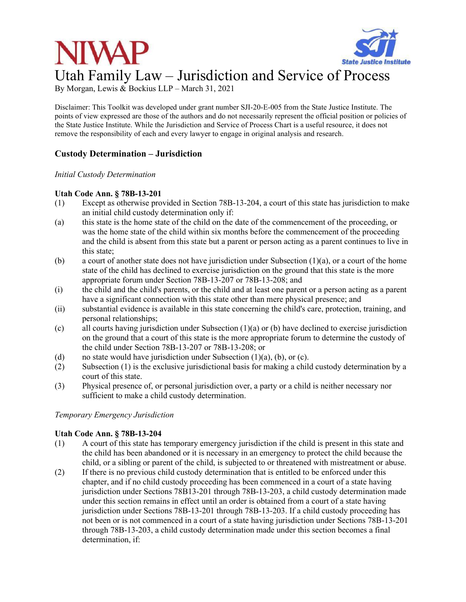

# Utah Family Law – Jurisdiction and Service of Process

By Morgan, Lewis & Bockius LLP – March 31, 2021

Disclaimer: This Toolkit was developed under grant number SJI-20-E-005 from the State Justice Institute. The points of view expressed are those of the authors and do not necessarily represent the official position or policies of the State Justice Institute. While the Jurisdiction and Service of Process Chart is a useful resource, it does not remove the responsibility of each and every lawyer to engage in original analysis and research.

# **Custody Determination – Jurisdiction**

*Initial Custody Determination* 

## **Utah Code Ann. § 78B-13-201**

- (1) Except as otherwise provided in Section 78B-13-204, a court of this state has jurisdiction to make an initial child custody determination only if:
- (a) this state is the home state of the child on the date of the commencement of the proceeding, or was the home state of the child within six months before the commencement of the proceeding and the child is absent from this state but a parent or person acting as a parent continues to live in this state;
- (b) a court of another state does not have jurisdiction under Subsection (1)(a), or a court of the home state of the child has declined to exercise jurisdiction on the ground that this state is the more appropriate forum under Section 78B-13-207 or 78B-13-208; and
- (i) the child and the child's parents, or the child and at least one parent or a person acting as a parent have a significant connection with this state other than mere physical presence; and
- (ii) substantial evidence is available in this state concerning the child's care, protection, training, and personal relationships;
- (c) all courts having jurisdiction under Subsection  $(1)(a)$  or (b) have declined to exercise jurisdiction on the ground that a court of this state is the more appropriate forum to determine the custody of the child under Section 78B-13-207 or 78B-13-208; or
- (d) no state would have jurisdiction under Subsection  $(1)(a)$ ,  $(b)$ , or  $(c)$ .
- (2) Subsection (1) is the exclusive jurisdictional basis for making a child custody determination by a court of this state.
- (3) Physical presence of, or personal jurisdiction over, a party or a child is neither necessary nor sufficient to make a child custody determination.

*Temporary Emergency Jurisdiction* 

# **Utah Code Ann. § 78B-13-204**

- (1) A court of this state has temporary emergency jurisdiction if the child is present in this state and the child has been abandoned or it is necessary in an emergency to protect the child because the child, or a sibling or parent of the child, is subjected to or threatened with mistreatment or abuse.
- (2) If there is no previous child custody determination that is entitled to be enforced under this chapter, and if no child custody proceeding has been commenced in a court of a state having jurisdiction under Sections 78B13-201 through 78B-13-203, a child custody determination made under this section remains in effect until an order is obtained from a court of a state having jurisdiction under Sections 78B-13-201 through 78B-13-203. If a child custody proceeding has not been or is not commenced in a court of a state having jurisdiction under Sections 78B-13-201 through 78B-13-203, a child custody determination made under this section becomes a final determination, if: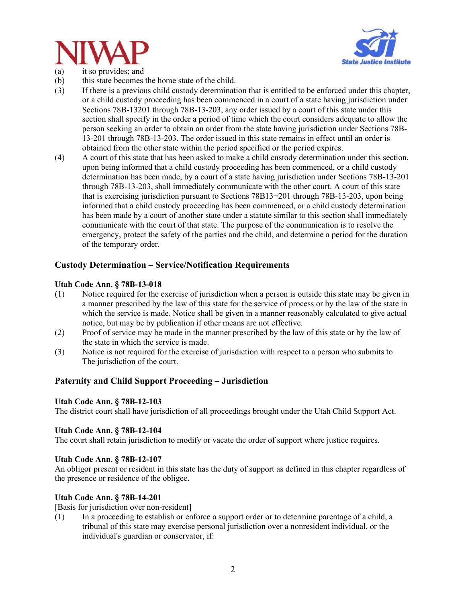



- (a) it so provides; and
- (b) this state becomes the home state of the child.
- (3) If there is a previous child custody determination that is entitled to be enforced under this chapter, or a child custody proceeding has been commenced in a court of a state having jurisdiction under Sections 78B-13201 through 78B-13-203, any order issued by a court of this state under this section shall specify in the order a period of time which the court considers adequate to allow the person seeking an order to obtain an order from the state having jurisdiction under Sections 78B-13-201 through 78B-13-203. The order issued in this state remains in effect until an order is obtained from the other state within the period specified or the period expires.
- (4) A court of this state that has been asked to make a child custody determination under this section, upon being informed that a child custody proceeding has been commenced, or a child custody determination has been made, by a court of a state having jurisdiction under Sections 78B-13-201 through 78B-13-203, shall immediately communicate with the other court. A court of this state that is exercising jurisdiction pursuant to Sections 78B13¬201 through 78B-13-203, upon being informed that a child custody proceeding has been commenced, or a child custody determination has been made by a court of another state under a statute similar to this section shall immediately communicate with the court of that state. The purpose of the communication is to resolve the emergency, protect the safety of the parties and the child, and determine a period for the duration of the temporary order.

# **Custody Determination – Service/Notification Requirements**

## **Utah Code Ann. § 78B-13-018**

- (1) Notice required for the exercise of jurisdiction when a person is outside this state may be given in a manner prescribed by the law of this state for the service of process or by the law of the state in which the service is made. Notice shall be given in a manner reasonably calculated to give actual notice, but may be by publication if other means are not effective.
- (2) Proof of service may be made in the manner prescribed by the law of this state or by the law of the state in which the service is made.
- (3) Notice is not required for the exercise of jurisdiction with respect to a person who submits to The jurisdiction of the court.

# **Paternity and Child Support Proceeding – Jurisdiction**

# **Utah Code Ann. § 78B-12-103**

The district court shall have jurisdiction of all proceedings brought under the Utah Child Support Act.

#### **Utah Code Ann. § 78B-12-104**

The court shall retain jurisdiction to modify or vacate the order of support where justice requires.

#### **Utah Code Ann. § 78B-12-107**

An obligor present or resident in this state has the duty of support as defined in this chapter regardless of the presence or residence of the obligee.

#### **Utah Code Ann. § 78B-14-201**

[Basis for jurisdiction over non-resident]

(1) In a proceeding to establish or enforce a support order or to determine parentage of a child, a tribunal of this state may exercise personal jurisdiction over a nonresident individual, or the individual's guardian or conservator, if: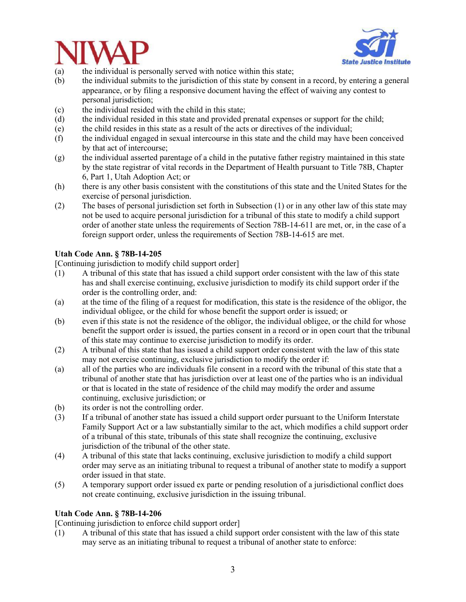



- (a) the individual is personally served with notice within this state;
- (b) the individual submits to the jurisdiction of this state by consent in a record, by entering a general appearance, or by filing a responsive document having the effect of waiving any contest to personal jurisdiction;
- (c) the individual resided with the child in this state;
- (d) the individual resided in this state and provided prenatal expenses or support for the child;
- (e) the child resides in this state as a result of the acts or directives of the individual;
- (f) the individual engaged in sexual intercourse in this state and the child may have been conceived by that act of intercourse;
- (g) the individual asserted parentage of a child in the putative father registry maintained in this state by the state registrar of vital records in the Department of Health pursuant to Title 78B, Chapter 6, Part 1, Utah Adoption Act; or
- (h) there is any other basis consistent with the constitutions of this state and the United States for the exercise of personal jurisdiction.
- (2) The bases of personal jurisdiction set forth in Subsection (1) or in any other law of this state may not be used to acquire personal jurisdiction for a tribunal of this state to modify a child support order of another state unless the requirements of Section 78B-14-611 are met, or, in the case of a foreign support order, unless the requirements of Section 78B-14-615 are met.

## **Utah Code Ann. § 78B-14-205**

[Continuing jurisdiction to modify child support order]

- (1) A tribunal of this state that has issued a child support order consistent with the law of this state has and shall exercise continuing, exclusive jurisdiction to modify its child support order if the order is the controlling order, and:
- (a) at the time of the filing of a request for modification, this state is the residence of the obligor, the individual obligee, or the child for whose benefit the support order is issued; or
- (b) even if this state is not the residence of the obligor, the individual obligee, or the child for whose benefit the support order is issued, the parties consent in a record or in open court that the tribunal of this state may continue to exercise jurisdiction to modify its order.
- (2) A tribunal of this state that has issued a child support order consistent with the law of this state may not exercise continuing, exclusive jurisdiction to modify the order if:
- (a) all of the parties who are individuals file consent in a record with the tribunal of this state that a tribunal of another state that has jurisdiction over at least one of the parties who is an individual or that is located in the state of residence of the child may modify the order and assume continuing, exclusive jurisdiction; or
- (b) its order is not the controlling order.
- (3) If a tribunal of another state has issued a child support order pursuant to the Uniform Interstate Family Support Act or a law substantially similar to the act, which modifies a child support order of a tribunal of this state, tribunals of this state shall recognize the continuing, exclusive jurisdiction of the tribunal of the other state.
- (4) A tribunal of this state that lacks continuing, exclusive jurisdiction to modify a child support order may serve as an initiating tribunal to request a tribunal of another state to modify a support order issued in that state.
- (5) A temporary support order issued ex parte or pending resolution of a jurisdictional conflict does not create continuing, exclusive jurisdiction in the issuing tribunal.

#### **Utah Code Ann. § 78B-14-206**

[Continuing jurisdiction to enforce child support order]

(1) A tribunal of this state that has issued a child support order consistent with the law of this state may serve as an initiating tribunal to request a tribunal of another state to enforce: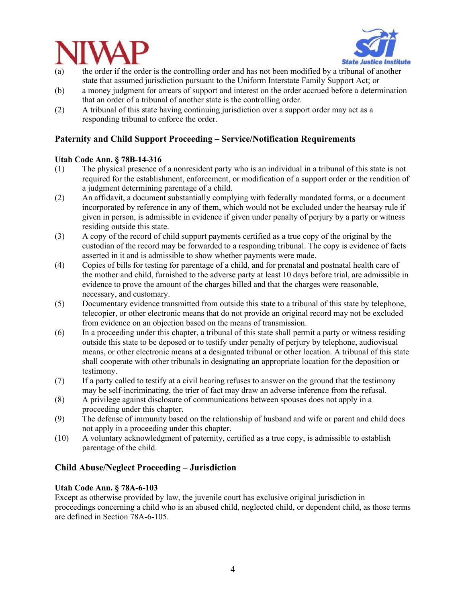



- (a) the order if the order is the controlling order and has not been modified by a tribunal of another state that assumed jurisdiction pursuant to the Uniform Interstate Family Support Act; or
- (b) a money judgment for arrears of support and interest on the order accrued before a determination that an order of a tribunal of another state is the controlling order.
- (2) A tribunal of this state having continuing jurisdiction over a support order may act as a responding tribunal to enforce the order.

# **Paternity and Child Support Proceeding – Service/Notification Requirements**

## **Utah Code Ann. § 78B-14-316**

- (1) The physical presence of a nonresident party who is an individual in a tribunal of this state is not required for the establishment, enforcement, or modification of a support order or the rendition of a judgment determining parentage of a child.
- (2) An affidavit, a document substantially complying with federally mandated forms, or a document incorporated by reference in any of them, which would not be excluded under the hearsay rule if given in person, is admissible in evidence if given under penalty of perjury by a party or witness residing outside this state.
- (3) A copy of the record of child support payments certified as a true copy of the original by the custodian of the record may be forwarded to a responding tribunal. The copy is evidence of facts asserted in it and is admissible to show whether payments were made.
- (4) Copies of bills for testing for parentage of a child, and for prenatal and postnatal health care of the mother and child, furnished to the adverse party at least 10 days before trial, are admissible in evidence to prove the amount of the charges billed and that the charges were reasonable, necessary, and customary.
- (5) Documentary evidence transmitted from outside this state to a tribunal of this state by telephone, telecopier, or other electronic means that do not provide an original record may not be excluded from evidence on an objection based on the means of transmission.
- (6) In a proceeding under this chapter, a tribunal of this state shall permit a party or witness residing outside this state to be deposed or to testify under penalty of perjury by telephone, audiovisual means, or other electronic means at a designated tribunal or other location. A tribunal of this state shall cooperate with other tribunals in designating an appropriate location for the deposition or testimony.
- (7) If a party called to testify at a civil hearing refuses to answer on the ground that the testimony may be self-incriminating, the trier of fact may draw an adverse inference from the refusal.
- (8) A privilege against disclosure of communications between spouses does not apply in a proceeding under this chapter.
- (9) The defense of immunity based on the relationship of husband and wife or parent and child does not apply in a proceeding under this chapter.
- (10) A voluntary acknowledgment of paternity, certified as a true copy, is admissible to establish parentage of the child.

# **Child Abuse/Neglect Proceeding – Jurisdiction**

#### **Utah Code Ann. § 78A-6-103**

Except as otherwise provided by law, the juvenile court has exclusive original jurisdiction in proceedings concerning a child who is an abused child, neglected child, or dependent child, as those terms are defined in Section 78A-6-105.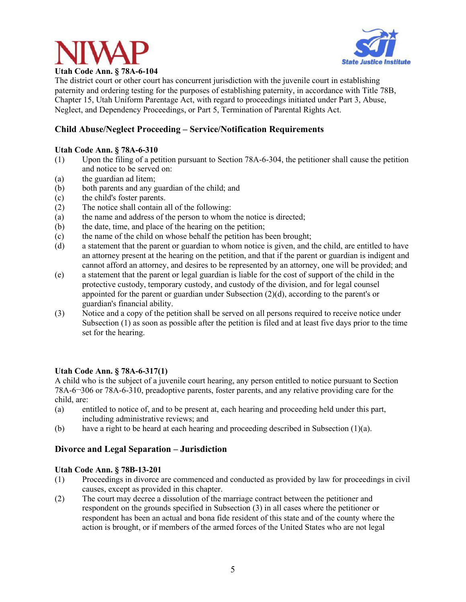



The district court or other court has concurrent jurisdiction with the juvenile court in establishing paternity and ordering testing for the purposes of establishing paternity, in accordance with Title 78B, Chapter 15, Utah Uniform Parentage Act, with regard to proceedings initiated under Part 3, Abuse, Neglect, and Dependency Proceedings, or Part 5, Termination of Parental Rights Act.

# **Child Abuse/Neglect Proceeding – Service/Notification Requirements**

## **Utah Code Ann. § 78A-6-310**

- (1) Upon the filing of a petition pursuant to Section 78A-6-304, the petitioner shall cause the petition and notice to be served on:
- (a) the guardian ad litem;
- (b) both parents and any guardian of the child; and
- (c) the child's foster parents.
- (2) The notice shall contain all of the following:
- (a) the name and address of the person to whom the notice is directed;
- (b) the date, time, and place of the hearing on the petition;
- (c) the name of the child on whose behalf the petition has been brought;
- (d) a statement that the parent or guardian to whom notice is given, and the child, are entitled to have an attorney present at the hearing on the petition, and that if the parent or guardian is indigent and cannot afford an attorney, and desires to be represented by an attorney, one will be provided; and
- (e) a statement that the parent or legal guardian is liable for the cost of support of the child in the protective custody, temporary custody, and custody of the division, and for legal counsel appointed for the parent or guardian under Subsection (2)(d), according to the parent's or guardian's financial ability.
- (3) Notice and a copy of the petition shall be served on all persons required to receive notice under Subsection (1) as soon as possible after the petition is filed and at least five days prior to the time set for the hearing.

#### **Utah Code Ann. § 78A-6-317(1)**

A child who is the subject of a juvenile court hearing, any person entitled to notice pursuant to Section 78A-6¬306 or 78A-6-310, preadoptive parents, foster parents, and any relative providing care for the child, are:

- (a) entitled to notice of, and to be present at, each hearing and proceeding held under this part, including administrative reviews; and
- (b) have a right to be heard at each hearing and proceeding described in Subsection (1)(a).

# **Divorce and Legal Separation – Jurisdiction**

#### **Utah Code Ann. § 78B-13-201**

- (1) Proceedings in divorce are commenced and conducted as provided by law for proceedings in civil causes, except as provided in this chapter.
- (2) The court may decree a dissolution of the marriage contract between the petitioner and respondent on the grounds specified in Subsection (3) in all cases where the petitioner or respondent has been an actual and bona fide resident of this state and of the county where the action is brought, or if members of the armed forces of the United States who are not legal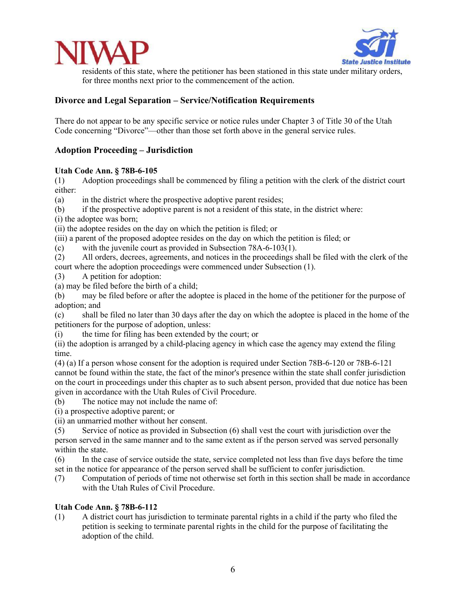



residents of this state, where the petitioner has been stationed in this state under military orders, for three months next prior to the commencement of the action.

# **Divorce and Legal Separation – Service/Notification Requirements**

There do not appear to be any specific service or notice rules under Chapter 3 of Title 30 of the Utah Code concerning "Divorce"—other than those set forth above in the general service rules.

# **Adoption Proceeding – Jurisdiction**

## **Utah Code Ann. § 78B-6-105**

(1) Adoption proceedings shall be commenced by filing a petition with the clerk of the district court either:

(a) in the district where the prospective adoptive parent resides;

- (b) if the prospective adoptive parent is not a resident of this state, in the district where:
- (i) the adoptee was born;

(ii) the adoptee resides on the day on which the petition is filed; or

(iii) a parent of the proposed adoptee resides on the day on which the petition is filed; or

(c) with the juvenile court as provided in Subsection 78A-6-103(1).

(2) All orders, decrees, agreements, and notices in the proceedings shall be filed with the clerk of the court where the adoption proceedings were commenced under Subsection (1).

- (3) A petition for adoption:
- (a) may be filed before the birth of a child;

(b) may be filed before or after the adoptee is placed in the home of the petitioner for the purpose of adoption; and

(c) shall be filed no later than 30 days after the day on which the adoptee is placed in the home of the petitioners for the purpose of adoption, unless:

(i) the time for filing has been extended by the court; or

(ii) the adoption is arranged by a child-placing agency in which case the agency may extend the filing time.

(4) (a) If a person whose consent for the adoption is required under Section 78B-6-120 or 78B-6-121 cannot be found within the state, the fact of the minor's presence within the state shall confer jurisdiction on the court in proceedings under this chapter as to such absent person, provided that due notice has been given in accordance with the Utah Rules of Civil Procedure.

(b) The notice may not include the name of:

(i) a prospective adoptive parent; or

(ii) an unmarried mother without her consent.

(5) Service of notice as provided in Subsection (6) shall vest the court with jurisdiction over the person served in the same manner and to the same extent as if the person served was served personally within the state.

(6) In the case of service outside the state, service completed not less than five days before the time set in the notice for appearance of the person served shall be sufficient to confer jurisdiction.

(7) Computation of periods of time not otherwise set forth in this section shall be made in accordance with the Utah Rules of Civil Procedure.

#### **Utah Code Ann. § 78B-6-112**

(1) A district court has jurisdiction to terminate parental rights in a child if the party who filed the petition is seeking to terminate parental rights in the child for the purpose of facilitating the adoption of the child.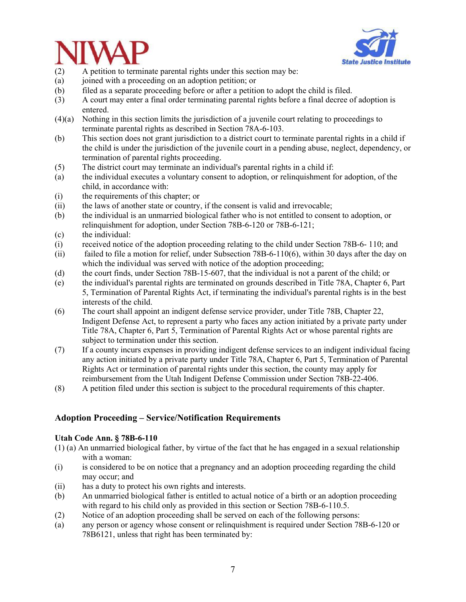



- (2) A petition to terminate parental rights under this section may be:
- (a) joined with a proceeding on an adoption petition; or
- (b) filed as a separate proceeding before or after a petition to adopt the child is filed.
- (3) A court may enter a final order terminating parental rights before a final decree of adoption is entered.
- (4)(a) Nothing in this section limits the jurisdiction of a juvenile court relating to proceedings to terminate parental rights as described in Section 78A-6-103.
- (b) This section does not grant jurisdiction to a district court to terminate parental rights in a child if the child is under the jurisdiction of the juvenile court in a pending abuse, neglect, dependency, or termination of parental rights proceeding.
- (5) The district court may terminate an individual's parental rights in a child if:
- (a) the individual executes a voluntary consent to adoption, or relinquishment for adoption, of the child, in accordance with:
- (i) the requirements of this chapter; or
- (ii) the laws of another state or country, if the consent is valid and irrevocable;
- (b) the individual is an unmarried biological father who is not entitled to consent to adoption, or relinquishment for adoption, under Section 78B-6-120 or 78B-6-121;
- (c) the individual:
- (i) received notice of the adoption proceeding relating to the child under Section 78B-6- 110; and
- (ii) failed to file a motion for relief, under Subsection 78B-6-110(6), within 30 days after the day on which the individual was served with notice of the adoption proceeding;
- (d) the court finds, under Section 78B-15-607, that the individual is not a parent of the child; or
- (e) the individual's parental rights are terminated on grounds described in Title 78A, Chapter 6, Part 5, Termination of Parental Rights Act, if terminating the individual's parental rights is in the best interests of the child.
- (6) The court shall appoint an indigent defense service provider, under Title 78B, Chapter 22, Indigent Defense Act, to represent a party who faces any action initiated by a private party under Title 78A, Chapter 6, Part 5, Termination of Parental Rights Act or whose parental rights are subject to termination under this section.
- (7) If a county incurs expenses in providing indigent defense services to an indigent individual facing any action initiated by a private party under Title 78A, Chapter 6, Part 5, Termination of Parental Rights Act or termination of parental rights under this section, the county may apply for reimbursement from the Utah Indigent Defense Commission under Section 78B-22-406.
- (8) A petition filed under this section is subject to the procedural requirements of this chapter.

# **Adoption Proceeding – Service/Notification Requirements**

#### **Utah Code Ann. § 78B-6-110**

- (1) (a) An unmarried biological father, by virtue of the fact that he has engaged in a sexual relationship with a woman:
- (i) is considered to be on notice that a pregnancy and an adoption proceeding regarding the child may occur; and
- (ii) has a duty to protect his own rights and interests.
- (b) An unmarried biological father is entitled to actual notice of a birth or an adoption proceeding with regard to his child only as provided in this section or Section 78B-6-110.5.
- (2) Notice of an adoption proceeding shall be served on each of the following persons:
- (a) any person or agency whose consent or relinquishment is required under Section 78B-6-120 or 78B6121, unless that right has been terminated by: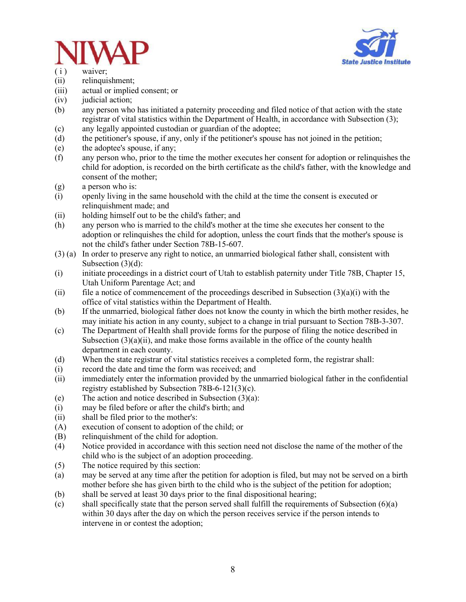



- ( i ) waiver;
- (ii) relinquishment;
- (iii) actual or implied consent; or
- (iv) judicial action;
- (b) any person who has initiated a paternity proceeding and filed notice of that action with the state registrar of vital statistics within the Department of Health, in accordance with Subsection (3);
- (c) any legally appointed custodian or guardian of the adoptee;
- (d) the petitioner's spouse, if any, only if the petitioner's spouse has not joined in the petition;
- (e) the adoptee's spouse, if any;
- (f) any person who, prior to the time the mother executes her consent for adoption or relinquishes the child for adoption, is recorded on the birth certificate as the child's father, with the knowledge and consent of the mother;
- (g) a person who is:
- (i) openly living in the same household with the child at the time the consent is executed or relinquishment made; and
- (ii) holding himself out to be the child's father; and
- (h) any person who is married to the child's mother at the time she executes her consent to the adoption or relinquishes the child for adoption, unless the court finds that the mother's spouse is not the child's father under Section 78B-15-607.
- (3) (a) In order to preserve any right to notice, an unmarried biological father shall, consistent with Subsection (3)(d):
- (i) initiate proceedings in a district court of Utah to establish paternity under Title 78B, Chapter 15, Utah Uniform Parentage Act; and
- (ii) file a notice of commencement of the proceedings described in Subsection  $(3)(a)(i)$  with the office of vital statistics within the Department of Health.
- (b) If the unmarried, biological father does not know the county in which the birth mother resides, he may initiate his action in any county, subject to a change in trial pursuant to Section 78B-3-307.
- (c) The Department of Health shall provide forms for the purpose of filing the notice described in Subsection  $(3)(a)(ii)$ , and make those forms available in the office of the county health department in each county.
- (d) When the state registrar of vital statistics receives a completed form, the registrar shall:
- (i) record the date and time the form was received; and
- (ii) immediately enter the information provided by the unmarried biological father in the confidential registry established by Subsection 78B-6-121(3)(c).
- (e) The action and notice described in Subsection (3)(a):
- (i) may be filed before or after the child's birth; and
- (ii) shall be filed prior to the mother's:
- (A) execution of consent to adoption of the child; or
- (B) relinquishment of the child for adoption.
- (4) Notice provided in accordance with this section need not disclose the name of the mother of the child who is the subject of an adoption proceeding.
- (5) The notice required by this section:
- (a) may be served at any time after the petition for adoption is filed, but may not be served on a birth mother before she has given birth to the child who is the subject of the petition for adoption;
- (b) shall be served at least 30 days prior to the final dispositional hearing;
- (c) shall specifically state that the person served shall fulfill the requirements of Subsection (6)(a) within 30 days after the day on which the person receives service if the person intends to intervene in or contest the adoption;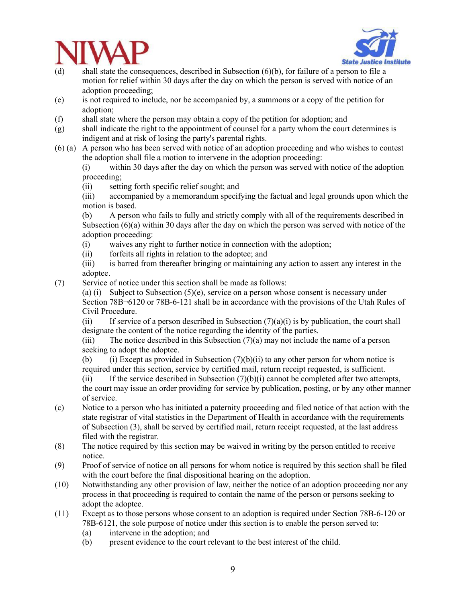



- (d) shall state the consequences, described in Subsection (6)(b), for failure of a person to file a motion for relief within 30 days after the day on which the person is served with notice of an adoption proceeding;
- (e) is not required to include, nor be accompanied by, a summons or a copy of the petition for adoption;
- (f) shall state where the person may obtain a copy of the petition for adoption; and
- (g) shall indicate the right to the appointment of counsel for a party whom the court determines is indigent and at risk of losing the party's parental rights.
- (6) (a) A person who has been served with notice of an adoption proceeding and who wishes to contest the adoption shall file a motion to intervene in the adoption proceeding:

(i) within 30 days after the day on which the person was served with notice of the adoption proceeding;

(ii) setting forth specific relief sought; and

(iii) accompanied by a memorandum specifying the factual and legal grounds upon which the motion is based.

(b) A person who fails to fully and strictly comply with all of the requirements described in Subsection  $(6)(a)$  within 30 days after the day on which the person was served with notice of the adoption proceeding:

- (i) waives any right to further notice in connection with the adoption;
- (ii) forfeits all rights in relation to the adoptee; and
- (iii) is barred from thereafter bringing or maintaining any action to assert any interest in the adoptee.
- (7) Service of notice under this section shall be made as follows:
	- (a) (i) Subject to Subsection (5)(e), service on a person whose consent is necessary under Section 78B¬6120 or 78B-6-121 shall be in accordance with the provisions of the Utah Rules of Civil Procedure.

(ii) If service of a person described in Subsection  $(7)(a)(i)$  is by publication, the court shall designate the content of the notice regarding the identity of the parties.

(iii) The notice described in this Subsection (7)(a) may not include the name of a person seeking to adopt the adoptee.

(b) (i) Except as provided in Subsection  $(7)(b)(ii)$  to any other person for whom notice is required under this section, service by certified mail, return receipt requested, is sufficient.

(ii) If the service described in Subsection  $(7)(b)(i)$  cannot be completed after two attempts, the court may issue an order providing for service by publication, posting, or by any other manner of service.

- (c) Notice to a person who has initiated a paternity proceeding and filed notice of that action with the state registrar of vital statistics in the Department of Health in accordance with the requirements of Subsection (3), shall be served by certified mail, return receipt requested, at the last address filed with the registrar.
- (8) The notice required by this section may be waived in writing by the person entitled to receive notice.
- (9) Proof of service of notice on all persons for whom notice is required by this section shall be filed with the court before the final dispositional hearing on the adoption.
- (10) Notwithstanding any other provision of law, neither the notice of an adoption proceeding nor any process in that proceeding is required to contain the name of the person or persons seeking to adopt the adoptee.
- (11) Except as to those persons whose consent to an adoption is required under Section 78B-6-120 or 78B-6121, the sole purpose of notice under this section is to enable the person served to:
	- (a) intervene in the adoption; and
	- (b) present evidence to the court relevant to the best interest of the child.